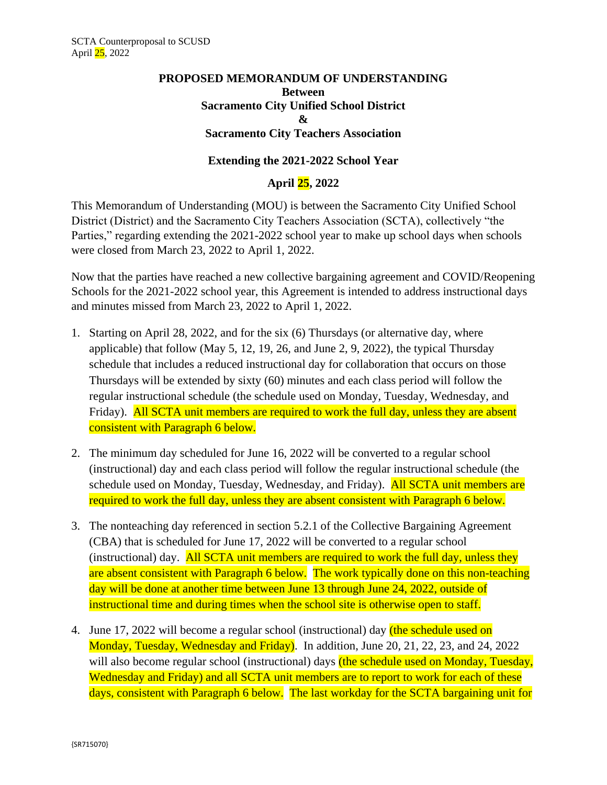## **PROPOSED MEMORANDUM OF UNDERSTANDING Between Sacramento City Unified School District & Sacramento City Teachers Association**

## **Extending the 2021-2022 School Year**

## **April 25, 2022**

This Memorandum of Understanding (MOU) is between the Sacramento City Unified School District (District) and the Sacramento City Teachers Association (SCTA), collectively "the Parties," regarding extending the 2021-2022 school year to make up school days when schools were closed from March 23, 2022 to April 1, 2022.

Now that the parties have reached a new collective bargaining agreement and COVID/Reopening Schools for the 2021-2022 school year, this Agreement is intended to address instructional days and minutes missed from March 23, 2022 to April 1, 2022.

- 1. Starting on April 28, 2022, and for the six (6) Thursdays (or alternative day, where applicable) that follow (May 5, 12, 19, 26, and June 2, 9, 2022), the typical Thursday schedule that includes a reduced instructional day for collaboration that occurs on those Thursdays will be extended by sixty (60) minutes and each class period will follow the regular instructional schedule (the schedule used on Monday, Tuesday, Wednesday, and Friday). All SCTA unit members are required to work the full day, unless they are absent consistent with Paragraph 6 below.
- 2. The minimum day scheduled for June 16, 2022 will be converted to a regular school (instructional) day and each class period will follow the regular instructional schedule (the schedule used on Monday, Tuesday, Wednesday, and Friday). All SCTA unit members are required to work the full day, unless they are absent consistent with Paragraph 6 below.
- 3. The nonteaching day referenced in section 5.2.1 of the Collective Bargaining Agreement (CBA) that is scheduled for June 17, 2022 will be converted to a regular school (instructional) day. All SCTA unit members are required to work the full day, unless they are absent consistent with Paragraph 6 below. The work typically done on this non-teaching day will be done at another time between June 13 through June 24, 2022, outside of instructional time and during times when the school site is otherwise open to staff.
- 4. June 17, 2022 will become a regular school (instructional) day (the schedule used on Monday, Tuesday, Wednesday and Friday). In addition, June 20, 21, 22, 23, and 24, 2022 will also become regular school (instructional) days (the schedule used on Monday, Tuesday, Wednesday and Friday) and all SCTA unit members are to report to work for each of these days, consistent with Paragraph 6 below. The last workday for the SCTA bargaining unit for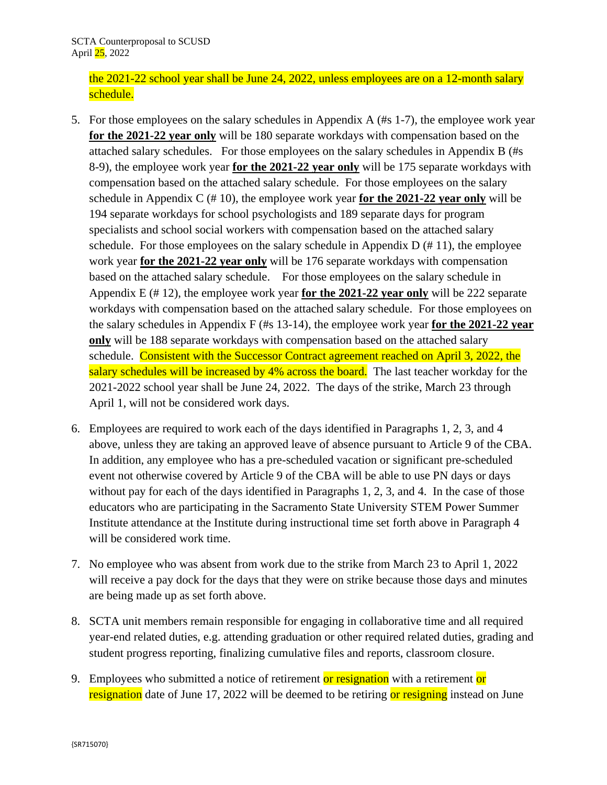the 2021-22 school year shall be June 24, 2022, unless employees are on a 12-month salary schedule.

- 5. For those employees on the salary schedules in Appendix A (#s 1-7), the employee work year **for the 2021-22 year only** will be 180 separate workdays with compensation based on the attached salary schedules. For those employees on the salary schedules in Appendix B (#s 8-9), the employee work year **for the 2021-22 year only** will be 175 separate workdays with compensation based on the attached salary schedule. For those employees on the salary schedule in Appendix C (# 10), the employee work year **for the 2021-22 year only** will be 194 separate workdays for school psychologists and 189 separate days for program specialists and school social workers with compensation based on the attached salary schedule. For those employees on the salary schedule in Appendix  $D \left( \frac{\mu}{2} 11 \right)$ , the employee work year **for the 2021-22 year only** will be 176 separate workdays with compensation based on the attached salary schedule. For those employees on the salary schedule in Appendix E (# 12), the employee work year **for the 2021-22 year only** will be 222 separate workdays with compensation based on the attached salary schedule. For those employees on the salary schedules in Appendix F (#s 13-14), the employee work year **for the 2021-22 year only** will be 188 separate workdays with compensation based on the attached salary schedule. Consistent with the Successor Contract agreement reached on April 3, 2022, the salary schedules will be increased by 4% across the board. The last teacher workday for the 2021-2022 school year shall be June 24, 2022. The days of the strike, March 23 through April 1, will not be considered work days.
- 6. Employees are required to work each of the days identified in Paragraphs 1, 2, 3, and 4 above, unless they are taking an approved leave of absence pursuant to Article 9 of the CBA. In addition, any employee who has a pre-scheduled vacation or significant pre-scheduled event not otherwise covered by Article 9 of the CBA will be able to use PN days or days without pay for each of the days identified in Paragraphs 1, 2, 3, and 4. In the case of those educators who are participating in the Sacramento State University STEM Power Summer Institute attendance at the Institute during instructional time set forth above in Paragraph 4 will be considered work time.
- 7. No employee who was absent from work due to the strike from March 23 to April 1, 2022 will receive a pay dock for the days that they were on strike because those days and minutes are being made up as set forth above.
- 8. SCTA unit members remain responsible for engaging in collaborative time and all required year-end related duties, e.g. attending graduation or other required related duties, grading and student progress reporting, finalizing cumulative files and reports, classroom closure.
- 9. Employees who submitted a notice of retirement or resignation with a retirement or resignation date of June 17, 2022 will be deemed to be retiring or resigning instead on June